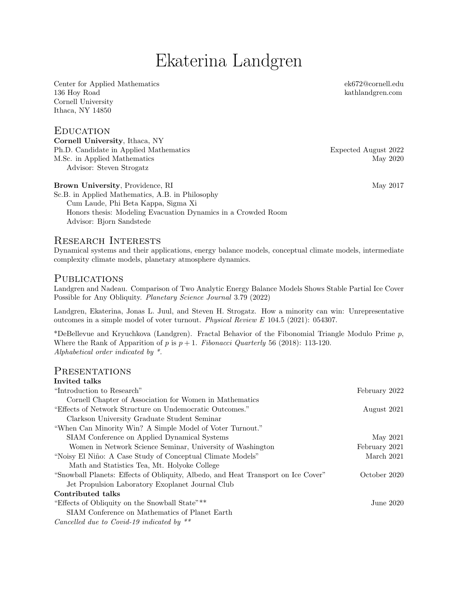# Ekaterina Landgren

Center for Applied Mathematics 136 Hoy Road Cornell University Ithaca, NY 14850

## **EDUCATION**

Cornell University, Ithaca, NY Ph.D. Candidate in Applied Mathematics Expected August 2022 M.Sc. in Applied Mathematics May 2020 Advisor: Steven Strogatz

ek672@cornell.edu [kathlandgren.com](www.kathlandgren.com)

Brown University, Providence, RI May 2017

Sc.B. in Applied Mathematics, A.B. in Philosophy Cum Laude, Phi Beta Kappa, Sigma Xi Honors thesis: Modeling Evacuation Dynamics in a Crowded Room Advisor: Bjorn Sandstede

## Research Interests

Dynamical systems and their applications, energy balance models, conceptual climate models, intermediate complexity climate models, planetary atmosphere dynamics.

## **PUBLICATIONS**

Landgren and Nadeau. Comparison of Two Analytic Energy Balance Models Shows Stable Partial Ice Cover Possible for Any Obliquity. Planetary Science Journal 3.79 (2022)

Landgren, Ekaterina, Jonas L. Juul, and Steven H. Strogatz. How a minority can win: Unrepresentative outcomes in a simple model of voter turnout. Physical Review E 104.5 (2021): 054307.

\*DeBellevue and Kryuchkova (Landgren). Fractal Behavior of the Fibonomial Triangle Modulo Prime  $p$ , Where the Rank of Apparition of p is  $p + 1$ . Fibonacci Quarterly 56 (2018): 113-120. Alphabetical order indicated by \*.

#### **PRESENTATIONS** Invited talks

| 111716501 GAINS                                                                   |               |
|-----------------------------------------------------------------------------------|---------------|
| "Introduction to Research"                                                        | February 2022 |
| Cornell Chapter of Association for Women in Mathematics                           |               |
| "Effects of Network Structure on Undemocratic Outcomes."                          | August 2021   |
| Clarkson University Graduate Student Seminar                                      |               |
| "When Can Minority Win? A Simple Model of Voter Turnout."                         |               |
| SIAM Conference on Applied Dynamical Systems                                      | May 2021      |
| Women in Network Science Seminar, University of Washington                        | February 2021 |
| "Noisy El Niño: A Case Study of Conceptual Climate Models"                        | March 2021    |
| Math and Statistics Tea, Mt. Holyoke College                                      |               |
| "Snowball Planets: Effects of Obliquity, Albedo, and Heat Transport on Ice Cover" | October 2020  |
| Jet Propulsion Laboratory Exoplanet Journal Club                                  |               |
| Contributed talks                                                                 |               |
| "Effects of Obliquity on the Snowball State"**                                    | June $2020$   |
| SIAM Conference on Mathematics of Planet Earth                                    |               |
| Cancelled due to Covid-19 indicated by $**$                                       |               |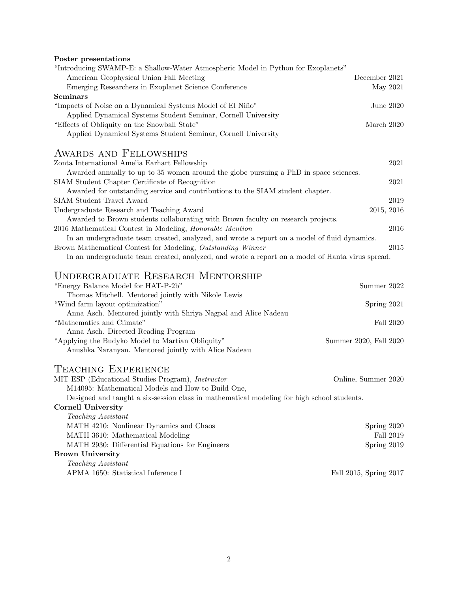Poster presentations

| "Introducing SWAMP-E: a Shallow-Water Atmospheric Model in Python for Exoplanets"<br>American Geophysical Union Fall Meeting | December 2021          |
|------------------------------------------------------------------------------------------------------------------------------|------------------------|
| Emerging Researchers in Exoplanet Science Conference                                                                         | May 2021               |
| Seminars                                                                                                                     |                        |
| "Impacts of Noise on a Dynamical Systems Model of El Niño"                                                                   | June 2020              |
| Applied Dynamical Systems Student Seminar, Cornell University                                                                |                        |
| "Effects of Obliquity on the Snowball State"                                                                                 | March 2020             |
| Applied Dynamical Systems Student Seminar, Cornell University                                                                |                        |
| AWARDS AND FELLOWSHIPS                                                                                                       |                        |
| Zonta International Amelia Earhart Fellowship                                                                                | 2021                   |
| Awarded annually to up to 35 women around the globe pursuing a PhD in space sciences.                                        |                        |
| SIAM Student Chapter Certificate of Recognition                                                                              | 2021                   |
| Awarded for outstanding service and contributions to the SIAM student chapter.                                               |                        |
| <b>SIAM Student Travel Award</b>                                                                                             | 2019                   |
| Undergraduate Research and Teaching Award                                                                                    | 2015, 2016             |
| Awarded to Brown students collaborating with Brown faculty on research projects.                                             |                        |
| 2016 Mathematical Contest in Modeling, <i>Honorable Mention</i>                                                              | 2016                   |
| In an undergraduate team created, analyzed, and wrote a report on a model of fluid dynamics.                                 |                        |
| Brown Mathematical Contest for Modeling, Outstanding Winner                                                                  | 2015                   |
| In an undergraduate team created, analyzed, and wrote a report on a model of Hanta virus spread.                             |                        |
|                                                                                                                              |                        |
| <b>UNDERGRADUATE RESEARCH MENTORSHIP</b>                                                                                     |                        |
| "Energy Balance Model for HAT-P-2b"                                                                                          | Summer 2022            |
| Thomas Mitchell. Mentored jointly with Nikole Lewis                                                                          |                        |
| "Wind farm layout optimization"                                                                                              | Spring 2021            |
| Anna Asch. Mentored jointly with Shriya Nagpal and Alice Nadeau                                                              |                        |
| "Mathematics and Climate"                                                                                                    | Fall 2020              |
| Anna Asch. Directed Reading Program                                                                                          |                        |
| "Applying the Budyko Model to Martian Obliquity"                                                                             | Summer 2020, Fall 2020 |
| Anushka Naranyan. Mentored jointly with Alice Nadeau                                                                         |                        |
| TEACHING EXPERIENCE                                                                                                          |                        |
| MIT ESP (Educational Studies Program), Instructor                                                                            | Online, Summer 2020    |
| M14095: Mathematical Models and How to Build One,                                                                            |                        |
| Designed and taught a six-session class in mathematical modeling for high school students.                                   |                        |
| <b>Cornell University</b>                                                                                                    |                        |
| Teaching Assistant                                                                                                           |                        |
| MATH 4210: Nonlinear Dynamics and Chaos                                                                                      | Spring 2020            |
| MATH 3610: Mathematical Modeling                                                                                             | Fall 2019              |
| MATH 2930: Differential Equations for Engineers                                                                              | Spring 2019            |
| <b>Brown University</b>                                                                                                      |                        |
| Teaching Assistant                                                                                                           |                        |
| APMA 1650: Statistical Inference I                                                                                           | Fall 2015, Spring 2017 |
|                                                                                                                              |                        |